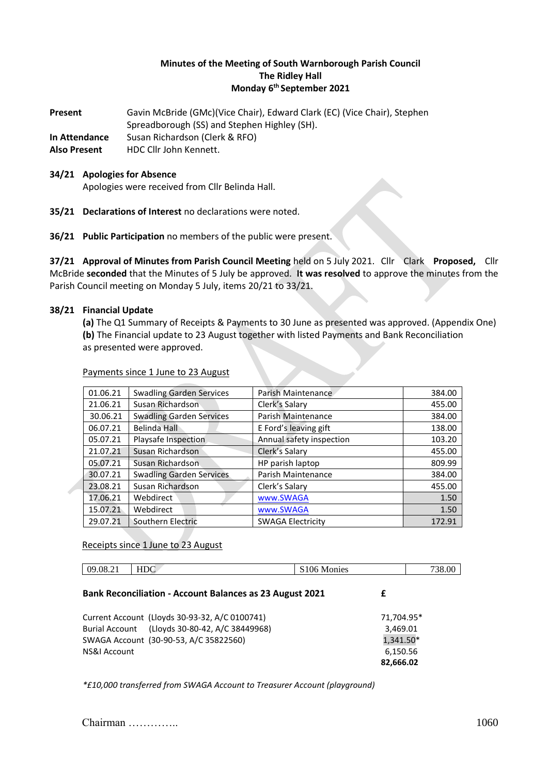# **Minutes of the Meeting of South Warnborough Parish Council The Ridley Hall Monday 6 th September 2021**

**Present** Gavin McBride (GMc)(Vice Chair), Edward Clark (EC) (Vice Chair), Stephen Spreadborough (SS) and Stephen Highley (SH). **In Attendance** Susan Richardson (Clerk & RFO) **Also Present** HDC Cllr John Kennett.

#### **34/21 Apologies for Absence**

Apologies were received from Cllr Belinda Hall.

**35/21 Declarations of Interest** no declarations were noted.

**36/21 Public Participation** no members of the public were present.

**37/21 Approval of Minutes from Parish Council Meeting** held on 5 July 2021. Cllr Clark **Proposed,** Cllr McBride **seconded** that the Minutes of 5 July be approved. **It was resolved** to approve the minutes from the Parish Council meeting on Monday 5 July, items 20/21 to 33/21.

## **38/21 Financial Update**

**(a)** The Q1 Summary of Receipts & Payments to 30 June as presented was approved. (Appendix One) **(b)** The Financial update to 23 August together with listed Payments and Bank Reconciliation as presented were approved.

| 01.06.21 | <b>Swadling Garden Services</b> | Parish Maintenance       | 384.00 |
|----------|---------------------------------|--------------------------|--------|
| 21.06.21 | Susan Richardson                | Clerk's Salary           | 455.00 |
| 30.06.21 | <b>Swadling Garden Services</b> | Parish Maintenance       | 384.00 |
| 06.07.21 | <b>Belinda Hall</b>             | E Ford's leaving gift    | 138.00 |
| 05.07.21 | Playsafe Inspection             | Annual safety inspection | 103.20 |
| 21.07.21 | Susan Richardson                | Clerk's Salary           | 455.00 |
| 05.07.21 | Susan Richardson                | HP parish laptop         | 809.99 |
| 30.07.21 | <b>Swadling Garden Services</b> | Parish Maintenance       | 384.00 |
| 23.08.21 | Susan Richardson                | Clerk's Salary           | 455.00 |
| 17.06.21 | Webdirect                       | www.SWAGA                | 1.50   |
| 15.07.21 | Webdirect                       | www.SWAGA                | 1.50   |
| 29.07.21 | Southern Electric               | <b>SWAGA Electricity</b> | 172.91 |

#### Payments since 1 June to 23 August

#### Receipts since 1 June to 23 August

| 9.08.21<br>$\mathbf{v}$ $\mathbf{v}$ $\mathbf{v}$<br>09<br>ADO <sup>2</sup> | <b>Monies</b><br>-106<br>້ | 720<br>'38.0C |
|-----------------------------------------------------------------------------|----------------------------|---------------|
|-----------------------------------------------------------------------------|----------------------------|---------------|

| Current Account (Lloyds 30-93-32, A/C 0100741) | 71,704.95* |
|------------------------------------------------|------------|
| Burial Account (Lloyds 30-80-42, A/C 38449968) | 3.469.01   |
| SWAGA Account (30-90-53, A/C 35822560)         | 1,341.50*  |
| NS&I Account                                   | 6.150.56   |
|                                                | 82,666.02  |

*\*£10,000 transferred from SWAGA Account to Treasurer Account (playground)*

**Bank Reconciliation - Account Balances as 23 August 2021 £**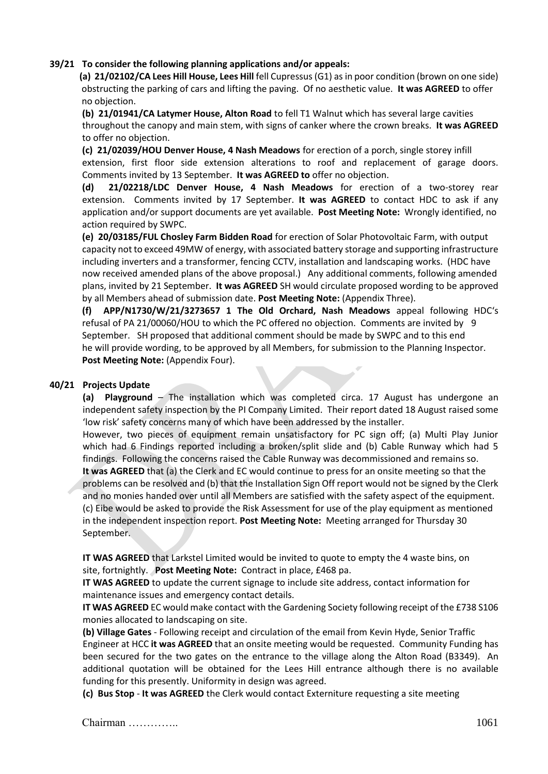## **39/21 To consider the following planning applications and/or appeals:**

 **(a) 21/02102/CA Lees Hill House, Lees Hill** fell Cupressus (G1) as in poor condition (brown on one side) obstructing the parking of cars and lifting the paving. Of no aesthetic value. **It was AGREED** to offer no objection.

**(b) 21/01941/CA Latymer House, Alton Road** to fell T1 Walnut which has several large cavities throughout the canopy and main stem, with signs of canker where the crown breaks. **It was AGREED** to offer no objection.

**(c) 21/02039/HOU Denver House, 4 Nash Meadows** for erection of a porch, single storey infill extension, first floor side extension alterations to roof and replacement of garage doors. Comments invited by 13 September. **It was AGREED to** offer no objection.

**(d) 21/02218/LDC Denver House, 4 Nash Meadows** for erection of a two-storey rear extension. Comments invited by 17 September. **It was AGREED** to contact HDC to ask if any application and/or support documents are yet available. **Post Meeting Note:** Wrongly identified, no action required by SWPC.

**(e) 20/03185/FUL Chosley Farm Bidden Road** for erection of Solar Photovoltaic Farm, with output capacity not to exceed 49MW of energy, with associated battery storage and supporting infrastructure including inverters and a transformer, fencing CCTV, installation and landscaping works. (HDC have now received amended plans of the above proposal.) Any additional comments, following amended plans, invited by 21 September. **It was AGREED** SH would circulate proposed wording to be approved by all Members ahead of submission date. **Post Meeting Note:** (Appendix Three).

**(f) APP/N1730/W/21/3273657 1 The Old Orchard, Nash Meadows** appeal following HDC's refusal of PA 21/00060/HOU to which the PC offered no objection. Comments are invited by 9 September.SH proposed that additional comment should be made by SWPC and to this end he will provide wording, to be approved by all Members, for submission to the Planning Inspector. **Post Meeting Note:** (Appendix Four).

### **40/21 Projects Update**

**(a) Playground** – The installation which was completed circa. 17 August has undergone an independent safety inspection by the PI Company Limited. Their report dated 18 August raised some 'low risk' safety concerns many of which have been addressed by the installer.

However, two pieces of equipment remain unsatisfactory for PC sign off; (a) Multi Play Junior which had 6 Findings reported including a broken/split slide and (b) Cable Runway which had 5 findings. Following the concerns raised the Cable Runway was decommissioned and remains so. **It was AGREED** that (a) the Clerk and EC would continue to press for an onsite meeting so that the problems can be resolved and (b) that the Installation Sign Off report would not be signed by the Clerk and no monies handed over until all Members are satisfied with the safety aspect of the equipment. (c) Eibe would be asked to provide the Risk Assessment for use of the play equipment as mentioned in the independent inspection report. **Post Meeting Note:** Meeting arranged for Thursday 30 September.

**IT WAS AGREED** that Larkstel Limited would be invited to quote to empty the 4 waste bins, on site, fortnightly. **Post Meeting Note:** Contract in place, £468 pa.

**IT WAS AGREED** to update the current signage to include site address, contact information for maintenance issues and emergency contact details.

**IT WAS AGREED** EC would make contact with the Gardening Society following receipt of the £738 S106 monies allocated to landscaping on site.

**(b) Village Gates** - Following receipt and circulation of the email from Kevin Hyde, Senior Traffic Engineer at HCC **it was AGREED** that an onsite meeting would be requested. Community Funding has been secured for the two gates on the entrance to the village along the Alton Road (B3349). An additional quotation will be obtained for the Lees Hill entrance although there is no available funding for this presently. Uniformity in design was agreed.

**(c) Bus Stop** - **It was AGREED** the Clerk would contact Externiture requesting a site meeting

Chairman ………….. 1061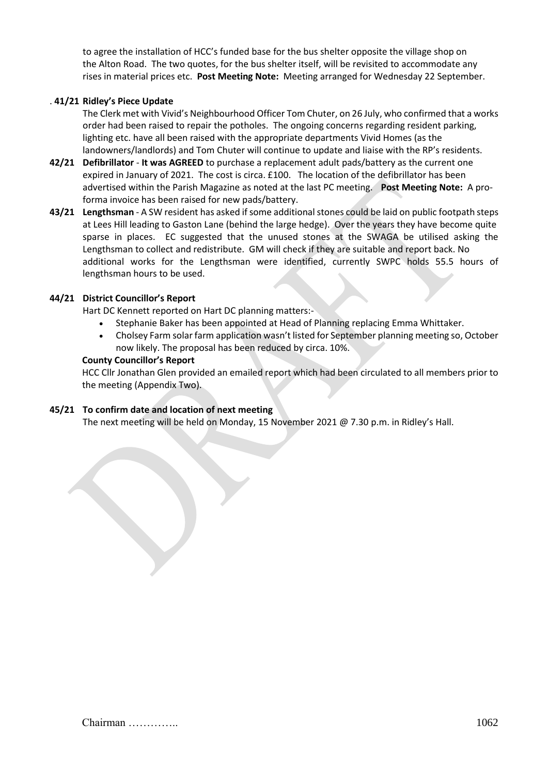to agree the installation of HCC's funded base for the bus shelter opposite the village shop on the Alton Road. The two quotes, for the bus shelter itself, will be revisited to accommodate any rises in material prices etc. **Post Meeting Note:** Meeting arranged for Wednesday 22 September.

## . **41/21 Ridley's Piece Update**

The Clerk met with Vivid's Neighbourhood Officer Tom Chuter, on 26 July, who confirmed that a works order had been raised to repair the potholes. The ongoing concerns regarding resident parking, lighting etc. have all been raised with the appropriate departments Vivid Homes (as the landowners/landlords) and Tom Chuter will continue to update and liaise with the RP's residents.

- **42/21 Defibrillator It was AGREED** to purchase a replacement adult pads/battery as the current one expired in January of 2021. The cost is circa. £100. The location of the defibrillator has been advertised within the Parish Magazine as noted at the last PC meeting. **Post Meeting Note:** A proforma invoice has been raised for new pads/battery.
- **43/21 Lengthsman** A SW resident has asked if some additional stones could be laid on public footpath steps at Lees Hill leading to Gaston Lane (behind the large hedge). Over the years they have become quite sparse in places. EC suggested that the unused stones at the SWAGA be utilised asking the Lengthsman to collect and redistribute. GM will check if they are suitable and report back. No additional works for the Lengthsman were identified, currently SWPC holds 55.5 hours of lengthsman hours to be used.

## **44/21 District Councillor's Report**

Hart DC Kennett reported on Hart DC planning matters:-

- Stephanie Baker has been appointed at Head of Planning replacing Emma Whittaker.
- Cholsey Farm solar farm application wasn't listed for September planning meeting so, October now likely. The proposal has been reduced by circa. 10%.

#### **County Councillor's Report**

HCC Cllr Jonathan Glen provided an emailed report which had been circulated to all members prior to the meeting (Appendix Two).

#### **45/21 To confirm date and location of next meeting**

The next meeting will be held on Monday, 15 November 2021 @ 7.30 p.m. in Ridley's Hall.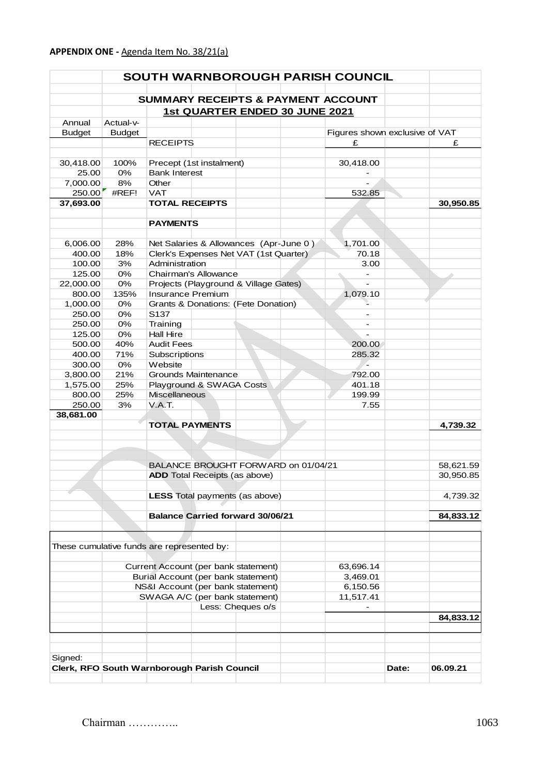|               |               | SOUTH WARNBOROUGH PARISH COUNCIL              |                   |                                |       |           |
|---------------|---------------|-----------------------------------------------|-------------------|--------------------------------|-------|-----------|
|               |               | <b>SUMMARY RECEIPTS &amp; PAYMENT ACCOUNT</b> |                   |                                |       |           |
|               |               |                                               |                   |                                |       |           |
| Annual        | Actual-v-     | <b>1st QUARTER ENDED 30 JUNE 2021</b>         |                   |                                |       |           |
| <b>Budget</b> |               |                                               |                   | Figures shown exclusive of VAT |       |           |
|               | <b>Budget</b> | <b>RECEIPTS</b>                               |                   | £                              |       | £         |
|               |               |                                               |                   |                                |       |           |
| 30,418.00     | 100%          | Precept (1st instalment)                      |                   | 30,418.00                      |       |           |
| 25.00         | 0%            | <b>Bank Interest</b>                          |                   |                                |       |           |
| 7,000.00      | 8%            | Other                                         |                   |                                |       |           |
| 250.00        | #REF!         | <b>VAT</b>                                    |                   | 532.85                         |       |           |
| 37,693.00     |               | <b>TOTAL RECEIPTS</b>                         |                   |                                |       | 30,950.85 |
|               |               | <b>PAYMENTS</b>                               |                   |                                |       |           |
|               |               |                                               |                   |                                |       |           |
| 6,006.00      | 28%           | Net Salaries & Allowances (Apr-June 0)        |                   | 1,701.00                       |       |           |
| 400.00        | 18%           | Clerk's Expenses Net VAT (1st Quarter)        |                   | 70.18                          |       |           |
| 100.00        | 3%            | Administration                                |                   | 3.00                           |       |           |
| 125.00        | $0\%$         | Chairman's Allowance                          |                   |                                |       |           |
| 22,000.00     | 0%            | Projects (Playground & Village Gates)         |                   |                                |       |           |
| 800.00        | 135%          | Insurance Premium                             |                   | 1,079.10                       |       |           |
| 1,000.00      | 0%            | Grants & Donations: (Fete Donation)           |                   |                                |       |           |
| 250.00        | 0%            | S137                                          |                   | $\overline{\phantom{a}}$       |       |           |
| 250.00        | 0%            | Training                                      |                   |                                |       |           |
| 125.00        | $0\%$         | <b>Hall Hire</b>                              |                   |                                |       |           |
|               | 40%           | <b>Audit Fees</b>                             |                   | 200.00                         |       |           |
| 500.00        |               |                                               |                   |                                |       |           |
| 400.00        | 71%           | Subscriptions                                 |                   | 285.32                         |       |           |
| 300.00        | $0\%$         | Website                                       |                   | Ξ                              |       |           |
| 3,800.00      | 21%           | <b>Grounds Maintenance</b>                    |                   | 792.00                         |       |           |
| 1,575.00      | 25%           | Playground & SWAGA Costs                      |                   | 401.18                         |       |           |
| 800.00        | 25%           | Miscellaneous                                 |                   | 199.99                         |       |           |
| 250.00        | 3%            | V.A.T.                                        |                   | 7.55                           |       |           |
| 38,681.00     |               |                                               |                   |                                |       |           |
|               |               | <b>TOTAL PAYMENTS</b>                         |                   |                                |       | 4,739.32  |
|               |               |                                               |                   |                                |       |           |
|               |               |                                               |                   |                                |       |           |
|               |               |                                               |                   |                                |       |           |
|               |               | BALANCE BROUGHT FORWARD on 01/04/21           |                   |                                |       | 58,621.59 |
|               |               | <b>ADD</b> Total Receipts (as above)          |                   |                                |       | 30,950.85 |
|               |               |                                               |                   |                                |       |           |
|               |               | LESS Total payments (as above)                |                   |                                |       | 4,739.32  |
|               |               | <b>Balance Carried forward 30/06/21</b>       |                   |                                |       | 84,833.12 |
|               |               |                                               |                   |                                |       |           |
|               |               |                                               |                   |                                |       |           |
|               |               | These cumulative funds are represented by:    |                   |                                |       |           |
|               |               |                                               |                   |                                |       |           |
|               |               | Current Account (per bank statement)          |                   | 63,696.14                      |       |           |
|               |               | Burial Account (per bank statement)           |                   | 3,469.01                       |       |           |
|               |               | NS&I Account (per bank statement)             |                   | 6,150.56                       |       |           |
|               |               | SWAGA A/C (per bank statement)                |                   | 11,517.41                      |       |           |
|               |               |                                               | Less: Cheques o/s |                                |       |           |
|               |               |                                               |                   |                                |       | 84,833.12 |
|               |               |                                               |                   |                                |       |           |
|               |               |                                               |                   |                                |       |           |
|               |               |                                               |                   |                                |       |           |
| Signed:       |               |                                               |                   |                                |       |           |
|               |               | Clerk, RFO South Warnborough Parish Council   |                   |                                | Date: | 06.09.21  |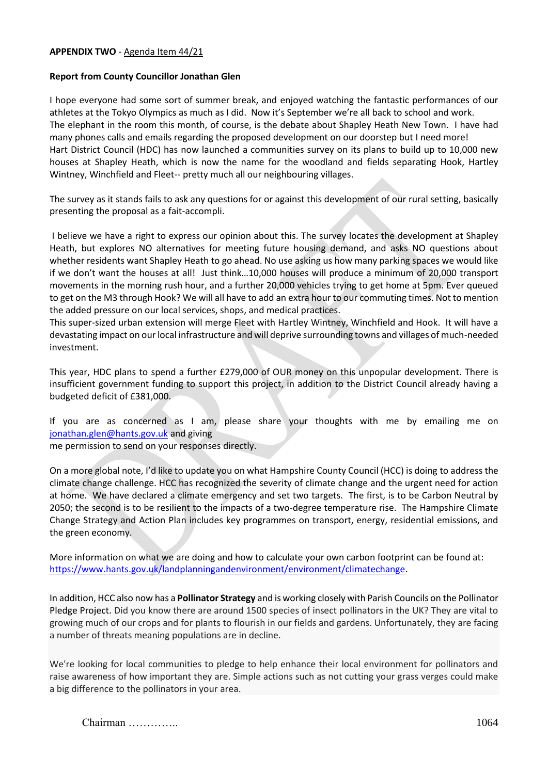#### **APPENDIX TWO** - Agenda Item 44/21

#### **Report from County Councillor Jonathan Glen**

I hope everyone had some sort of summer break, and enjoyed watching the fantastic performances of our athletes at the Tokyo Olympics as much as I did. Now it's September we're all back to school and work. The elephant in the room this month, of course, is the debate about Shapley Heath New Town. I have had many phones calls and emails regarding the proposed development on our doorstep but I need more! Hart District Council (HDC) has now launched a communities survey on its plans to build up to 10,000 new houses at Shapley Heath, which is now the name for the woodland and fields separating Hook, Hartley Wintney, Winchfield and Fleet-- pretty much all our neighbouring villages.

The survey as it stands fails to ask any questions for or against this development of our rural setting, basically presenting the proposal as a fait-accompli.

I believe we have a right to express our opinion about this. The survey locates the development at Shapley Heath, but explores NO alternatives for meeting future housing demand, and asks NO questions about whether residents want Shapley Heath to go ahead. No use asking us how many parking spaces we would like if we don't want the houses at all! Just think…10,000 houses will produce a minimum of 20,000 transport movements in the morning rush hour, and a further 20,000 vehicles trying to get home at 5pm. Ever queued to get on the M3 through Hook? We will all have to add an extra hour to our commuting times. Not to mention the added pressure on our local services, shops, and medical practices.

This super-sized urban extension will merge Fleet with Hartley Wintney, Winchfield and Hook. It will have a devastating impact on our local infrastructure and will deprive surrounding towns and villages of much-needed investment.

This year, HDC plans to spend a further £279,000 of OUR money on this unpopular development. There is insufficient government funding to support this project, in addition to the District Council already having a budgeted deficit of £381,000.

If you are as concerned as I am, please share your thoughts with me by emailing me on [jonathan.glen@hants.gov.uk](mailto:jonathan.glen@hants.gov.uk) and giving

me permission to send on your responses directly.

On a more global note, I'd like to update you on what Hampshire County Council (HCC) is doing to address the climate change challenge. HCC has recognized the severity of climate change and the urgent need for action at home. We have declared a climate emergency and set two targets. The first, is to be Carbon Neutral by 2050; the second is to be resilient to the impacts of a two-degree temperature rise. The Hampshire Climate Change Strategy and Action Plan includes key programmes on transport, energy, residential emissions, and the green economy.

More information on what we are doing and how to calculate your own carbon footprint can be found at: [https://www.hants.gov.uk/landplanningandenvironment/environment/climatechange.](https://www.hants.gov.uk/landplanningandenvironment/environment/climatechange)

In addition, HCC also now has a **Pollinator Strategy** and is working closely with Parish Councils on the Pollinator Pledge Project. Did you know there are around 1500 species of insect pollinators in the UK? They are vital to growing much of our crops and for plants to flourish in our fields and gardens. Unfortunately, they are facing a number of threats meaning populations are in decline.

We're looking for local communities to pledge to help enhance their local environment for pollinators and raise awareness of how important they are. Simple actions such as not cutting your grass verges could make a big difference to the pollinators in your area.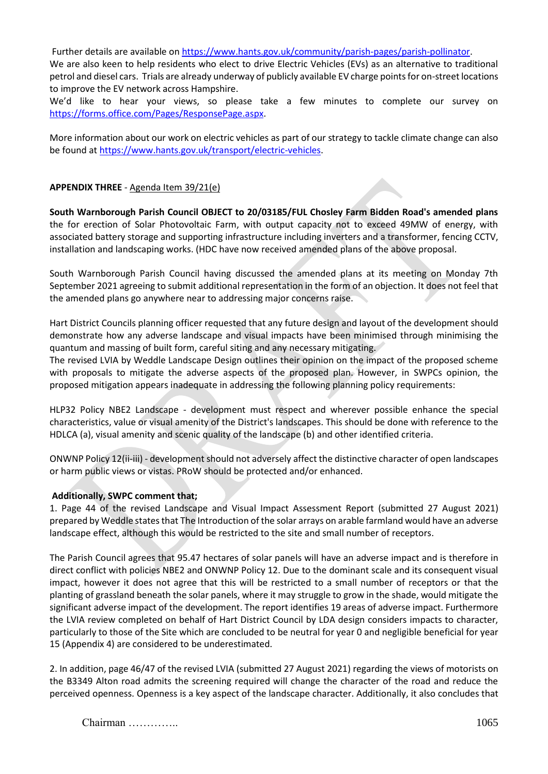Further details are available o[n https://www.hants.gov.uk/community/parish-pages/parish-pollinator.](https://www.hants.gov.uk/community/parish-pages/parish-pollinator)

We are also keen to help residents who elect to drive Electric Vehicles (EVs) as an alternative to traditional petrol and diesel cars. Trials are already underway of publicly available EV charge points for on-street locations to improve the EV network across Hampshire.

We'd like to hear your views, so please take a few minutes to complete our survey on [https://forms.office.com/Pages/ResponsePage.aspx.](https://forms.office.com/Pages/ResponsePage.aspx)

More information about our work on electric vehicles as part of our strategy to tackle climate change can also be found at [https://www.hants.gov.uk/transport/electric-vehicles.](https://www.hants.gov.uk/transport/electric-vehicles)

## **APPENDIX THREE** - Agenda Item 39/21(e)

**South Warnborough Parish Council OBJECT to 20/03185/FUL Chosley Farm Bidden Road's amended plans**  the for erection of Solar Photovoltaic Farm, with output capacity not to exceed 49MW of energy, with associated battery storage and supporting infrastructure including inverters and a transformer, fencing CCTV, installation and landscaping works. (HDC have now received amended plans of the above proposal.

South Warnborough Parish Council having discussed the amended plans at its meeting on Monday 7th September 2021 agreeing to submit additional representation in the form of an objection. It does not feel that the amended plans go anywhere near to addressing major concerns raise.

Hart District Councils planning officer requested that any future design and layout of the development should demonstrate how any adverse landscape and visual impacts have been minimised through minimising the quantum and massing of built form, careful siting and any necessary mitigating.

The revised LVIA by Weddle Landscape Design outlines their opinion on the impact of the proposed scheme with proposals to mitigate the adverse aspects of the proposed plan. However, in SWPCs opinion, the proposed mitigation appears inadequate in addressing the following planning policy requirements:

HLP32 Policy NBE2 Landscape - development must respect and wherever possible enhance the special characteristics, value or visual amenity of the District's landscapes. This should be done with reference to the HDLCA (a), visual amenity and scenic quality of the landscape (b) and other identified criteria.

ONWNP Policy 12(ii-iii) - development should not adversely affect the distinctive character of open landscapes or harm public views or vistas. PRoW should be protected and/or enhanced.

#### **Additionally, SWPC comment that;**

1. Page 44 of the revised Landscape and Visual Impact Assessment Report (submitted 27 August 2021) prepared by Weddle states that The Introduction of the solar arrays on arable farmland would have an adverse landscape effect, although this would be restricted to the site and small number of receptors.

The Parish Council agrees that 95.47 hectares of solar panels will have an adverse impact and is therefore in direct conflict with policies NBE2 and ONWNP Policy 12. Due to the dominant scale and its consequent visual impact, however it does not agree that this will be restricted to a small number of receptors or that the planting of grassland beneath the solar panels, where it may struggle to grow in the shade, would mitigate the significant adverse impact of the development. The report identifies 19 areas of adverse impact. Furthermore the LVIA review completed on behalf of Hart District Council by LDA design considers impacts to character, particularly to those of the Site which are concluded to be neutral for year 0 and negligible beneficial for year 15 (Appendix 4) are considered to be underestimated.

2. In addition, page 46/47 of the revised LVIA (submitted 27 August 2021) regarding the views of motorists on the B3349 Alton road admits the screening required will change the character of the road and reduce the perceived openness. Openness is a key aspect of the landscape character. Additionally, it also concludes that